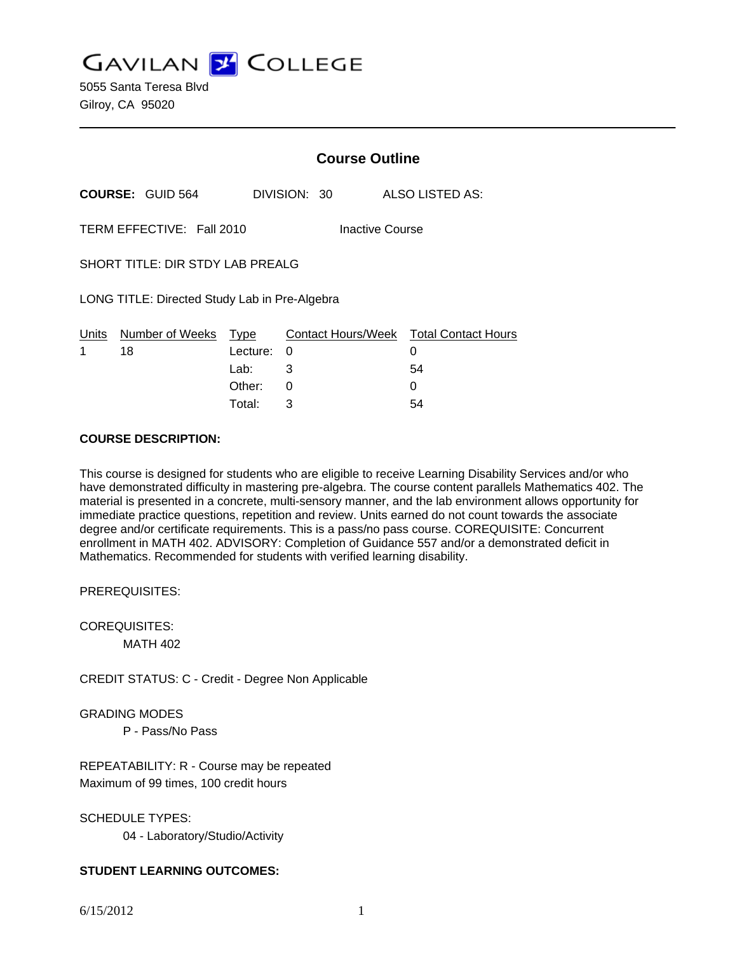**GAVILAN Z COLLEGE** 

5055 Santa Teresa Blvd Gilroy, CA 95020

|                                               |                         | <b>Course Outline</b> |                                        |                 |  |
|-----------------------------------------------|-------------------------|-----------------------|----------------------------------------|-----------------|--|
|                                               | <b>COURSE: GUID 564</b> |                       | DIVISION: 30                           | ALSO LISTED AS: |  |
| TERM EFFECTIVE: Fall 2010<br>Inactive Course  |                         |                       |                                        |                 |  |
| SHORT TITLE: DIR STDY LAB PREALG              |                         |                       |                                        |                 |  |
| LONG TITLE: Directed Study Lab in Pre-Algebra |                         |                       |                                        |                 |  |
| Units                                         | Number of Weeks         | Type                  | Contact Hours/Week Total Contact Hours |                 |  |
| 1                                             | 18                      | Lecture:<br>Lab:      | 0<br>3                                 | 0<br>54         |  |
|                                               |                         | Other:                | 0                                      | 0               |  |
|                                               |                         |                       |                                        |                 |  |

Total: 3 54

# **COURSE DESCRIPTION:**

This course is designed for students who are eligible to receive Learning Disability Services and/or who have demonstrated difficulty in mastering pre-algebra. The course content parallels Mathematics 402. The material is presented in a concrete, multi-sensory manner, and the lab environment allows opportunity for immediate practice questions, repetition and review. Units earned do not count towards the associate degree and/or certificate requirements. This is a pass/no pass course. COREQUISITE: Concurrent enrollment in MATH 402. ADVISORY: Completion of Guidance 557 and/or a demonstrated deficit in Mathematics. Recommended for students with verified learning disability.

PREREQUISITES:

COREQUISITES: MATH 402

CREDIT STATUS: C - Credit - Degree Non Applicable

GRADING MODES

P - Pass/No Pass

REPEATABILITY: R - Course may be repeated Maximum of 99 times, 100 credit hours

SCHEDULE TYPES:

04 - Laboratory/Studio/Activity

# **STUDENT LEARNING OUTCOMES:**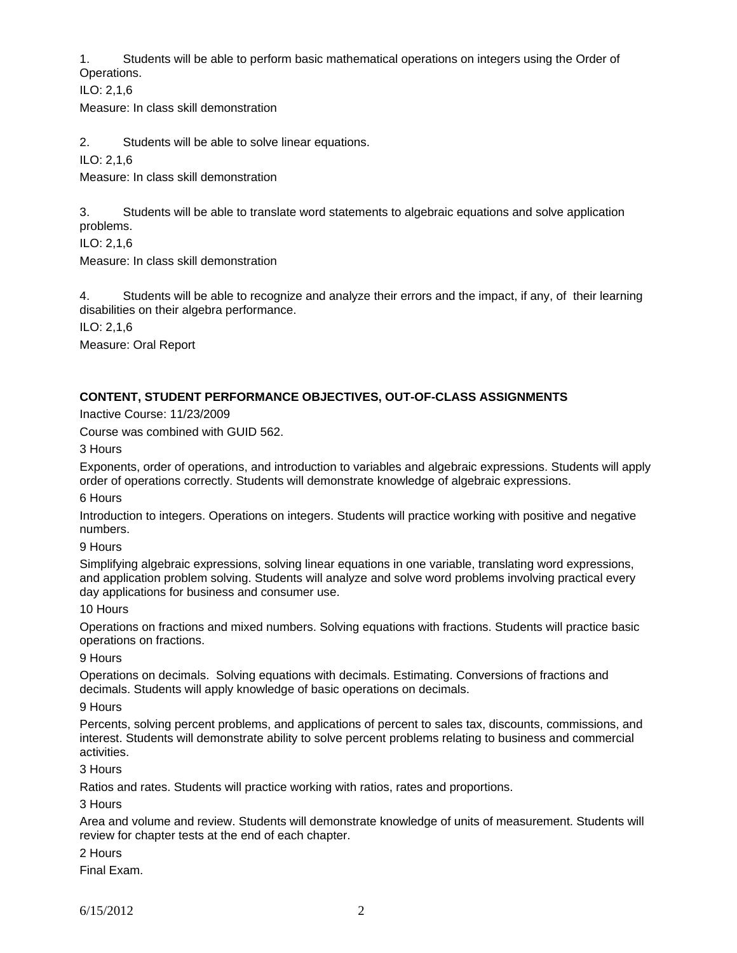1. Students will be able to perform basic mathematical operations on integers using the Order of Operations.

ILO: 2,1,6

Measure: In class skill demonstration

2. Students will be able to solve linear equations.

ILO: 2,1,6

Measure: In class skill demonstration

3. Students will be able to translate word statements to algebraic equations and solve application problems.

ILO: 2,1,6

Measure: In class skill demonstration

4. Students will be able to recognize and analyze their errors and the impact, if any, of their learning disabilities on their algebra performance.

ILO: 2,1,6

Measure: Oral Report

# **CONTENT, STUDENT PERFORMANCE OBJECTIVES, OUT-OF-CLASS ASSIGNMENTS**

Inactive Course: 11/23/2009

Course was combined with GUID 562.

3 Hours

Exponents, order of operations, and introduction to variables and algebraic expressions. Students will apply order of operations correctly. Students will demonstrate knowledge of algebraic expressions.

6 Hours

Introduction to integers. Operations on integers. Students will practice working with positive and negative numbers.

9 Hours

Simplifying algebraic expressions, solving linear equations in one variable, translating word expressions, and application problem solving. Students will analyze and solve word problems involving practical every day applications for business and consumer use.

10 Hours

Operations on fractions and mixed numbers. Solving equations with fractions. Students will practice basic operations on fractions.

9 Hours

Operations on decimals. Solving equations with decimals. Estimating. Conversions of fractions and decimals. Students will apply knowledge of basic operations on decimals.

9 Hours

Percents, solving percent problems, and applications of percent to sales tax, discounts, commissions, and interest. Students will demonstrate ability to solve percent problems relating to business and commercial activities.

3 Hours

Ratios and rates. Students will practice working with ratios, rates and proportions.

3 Hours

Area and volume and review. Students will demonstrate knowledge of units of measurement. Students will review for chapter tests at the end of each chapter.

2 Hours

Final Exam.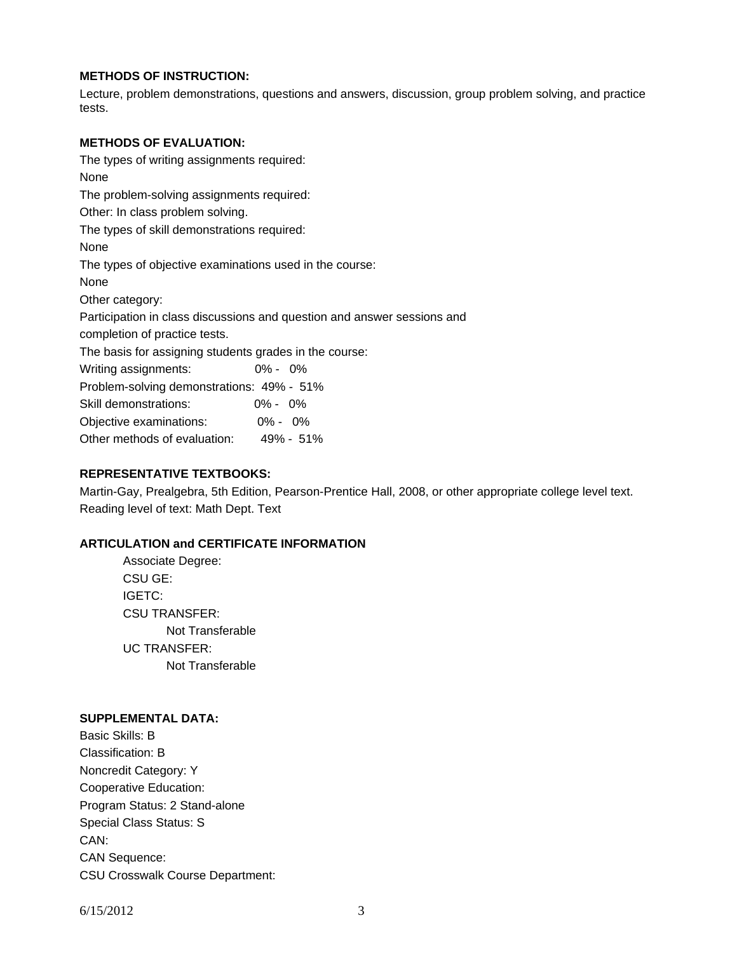# **METHODS OF INSTRUCTION:**

Lecture, problem demonstrations, questions and answers, discussion, group problem solving, and practice tests.

#### **METHODS OF EVALUATION:**

The types of writing assignments required: None The problem-solving assignments required: Other: In class problem solving. The types of skill demonstrations required: None The types of objective examinations used in the course: None Other category: Participation in class discussions and question and answer sessions and completion of practice tests. The basis for assigning students grades in the course: Writing assignments: 0% - 0% Problem-solving demonstrations: 49% - 51% Skill demonstrations: 0% - 0% Objective examinations: 0% - 0% Other methods of evaluation: 49% - 51%

# **REPRESENTATIVE TEXTBOOKS:**

Martin-Gay, Prealgebra, 5th Edition, Pearson-Prentice Hall, 2008, or other appropriate college level text. Reading level of text: Math Dept. Text

#### **ARTICULATION and CERTIFICATE INFORMATION**

 Associate Degree: CSU GE: IGETC: CSU TRANSFER: Not Transferable UC TRANSFER: Not Transferable

#### **SUPPLEMENTAL DATA:**

Basic Skills: B Classification: B Noncredit Category: Y Cooperative Education: Program Status: 2 Stand-alone Special Class Status: S CAN: CAN Sequence: CSU Crosswalk Course Department: